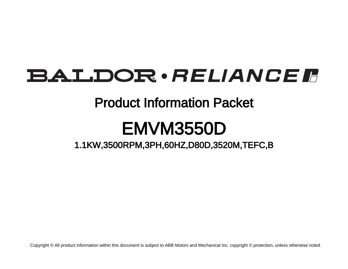# **BALDOR** · RELIANCE F

## Product Information Packet

# EMVM3550D

1.1KW,3500RPM,3PH,60HZ,D80D,3520M,TEFC,B

Copyright © All product information within this document is subject to ABB Motors and Mechanical Inc. copyright © protection, unless otherwise noted.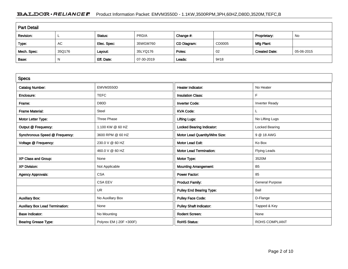### BALDOR · RELIANCE F Product Information Packet: EMVM3550D - 1.1KW,3500RPM,3PH,60HZ,D80D,3520M,TEFC,B

| <b>Part Detail</b> |           |             |            |             |        |                      |            |  |
|--------------------|-----------|-------------|------------|-------------|--------|----------------------|------------|--|
| Revision:          |           | Status:     | PRD/A      | Change #:   |        | Proprietary:         | No         |  |
| Type:              | <b>AC</b> | Elec. Spec: | 35WGM760   | CD Diagram: | CD0005 | Mfg Plant:           |            |  |
| Mech. Spec:        | 35Q176    | Layout:     | 35LYQ176   | Poles:      | 02     | <b>Created Date:</b> | 05-06-2015 |  |
| Base:              | N         | Eff. Date:  | 07-30-2019 | Leads:      | 9#18   |                      |            |  |

| <b>Specs</b>                           |                         |                                  |                        |
|----------------------------------------|-------------------------|----------------------------------|------------------------|
| <b>Catalog Number:</b>                 | EMVM3550D               | Heater Indicator:                | No Heater              |
| Enclosure:                             | <b>TEFC</b>             | <b>Insulation Class:</b>         | F                      |
| Frame:                                 | D80D                    | <b>Inverter Code:</b>            | <b>Inverter Ready</b>  |
| <b>Frame Material:</b>                 | Steel                   | <b>KVA Code:</b>                 |                        |
| Motor Letter Type:                     | Three Phase             | <b>Lifting Lugs:</b>             | No Lifting Lugs        |
| Output @ Frequency:                    | 1.100 KW @ 60 HZ        | <b>Locked Bearing Indicator:</b> | Locked Bearing         |
| Synchronous Speed @ Frequency:         | 3600 RPM @ 60 HZ        | Motor Lead Quantity/Wire Size:   | 9 @ 18 AWG             |
| Voltage @ Frequency:                   | 230.0 V @ 60 HZ         | <b>Motor Lead Exit:</b>          | Ko Box                 |
|                                        | 460.0 V @ 60 HZ         | <b>Motor Lead Termination:</b>   | <b>Flying Leads</b>    |
| XP Class and Group:                    | None                    | Motor Type:                      | 3520M                  |
| <b>XP Division:</b>                    | Not Applicable          | <b>Mounting Arrangement:</b>     | B <sub>5</sub>         |
| <b>Agency Approvals:</b>               | <b>CSA</b>              | <b>Power Factor:</b>             | 85                     |
|                                        | <b>CSA EEV</b>          | <b>Product Family:</b>           | <b>General Purpose</b> |
|                                        | <b>UR</b>               | <b>Pulley End Bearing Type:</b>  | Ball                   |
| <b>Auxillary Box:</b>                  | No Auxillary Box        | <b>Pulley Face Code:</b>         | D-Flange               |
| <b>Auxillary Box Lead Termination:</b> | None                    | <b>Pulley Shaft Indicator:</b>   | Tapped & Key           |
| <b>Base Indicator:</b>                 | No Mounting             | <b>Rodent Screen:</b>            | None                   |
| <b>Bearing Grease Type:</b>            | Polyrex EM (-20F +300F) | <b>RoHS Status:</b>              | <b>ROHS COMPLIANT</b>  |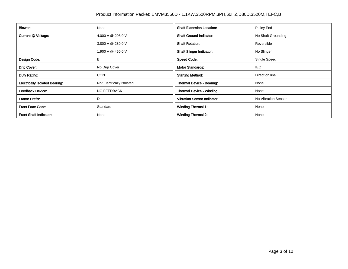| Blower:                               | None                      | <b>Shaft Extension Location:</b>   | <b>Pulley End</b>   |
|---------------------------------------|---------------------------|------------------------------------|---------------------|
| Current @ Voltage:                    | 4.000 A @ 208.0 V         | <b>Shaft Ground Indicator:</b>     | No Shaft Grounding  |
|                                       | 3.800 A @ 230.0 V         | <b>Shaft Rotation:</b>             | Reversible          |
|                                       | 1.900 A @ 460.0 V         | <b>Shaft Slinger Indicator:</b>    | No Slinger          |
| Design Code:                          | в                         | <b>Speed Code:</b>                 | Single Speed        |
| Drip Cover:                           | No Drip Cover             | <b>Motor Standards:</b>            | IEC.                |
| Duty Rating:                          | <b>CONT</b>               | <b>Starting Method:</b>            | Direct on line      |
| <b>Electrically Isolated Bearing:</b> | Not Electrically Isolated | Thermal Device - Bearing:          | None                |
| <b>Feedback Device:</b>               | <b>NO FEEDBACK</b>        | <b>Thermal Device - Winding:</b>   | None                |
| Frame Prefix:                         | D                         | <b>Vibration Sensor Indicator:</b> | No Vibration Sensor |
| <b>Front Face Code:</b>               | Standard                  | <b>Winding Thermal 1:</b>          | None                |
| Front Shaft Indicator:                | None                      | <b>Winding Thermal 2:</b>          | None                |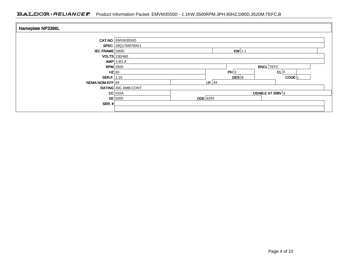### BALDOR · RELIANCE F Product Information Packet: EMVM3550D - 1.1KW,3500RPM,3PH,60HZ,D80D,3520M,TEFC,B

| Nameplate NP3386L     |                     |                 |           |                     |  |
|-----------------------|---------------------|-----------------|-----------|---------------------|--|
|                       | CAT.NO. EMVM3550D   |                 |           |                     |  |
|                       | SPEC. 35Q176M760G1  |                 |           |                     |  |
| <b>IEC FRAME D80D</b> | $KW$ 1.1            |                 |           |                     |  |
|                       | VOLTS 230/460       |                 |           |                     |  |
|                       | $AMP$ 3.8/1.9       |                 |           |                     |  |
| <b>RPM</b> 3500       |                     |                 |           | <b>ENCL</b> TEFC    |  |
| $HZ$ 60               |                     |                 | PH 3      | $CL$ $F$            |  |
| <b>SER.F.</b> 1.15    |                     |                 | DES B     | CODE <sup>L</sup>   |  |
| NEMA-NOM-EFF 84       |                     |                 | $I.P.$ 44 |                     |  |
|                       | RATING 40C AMB-CONT |                 |           |                     |  |
|                       | $CC$ 010A           |                 |           | USABLE AT 208V $ 4$ |  |
|                       | $DE$ 6205           | <b>ODE</b> 6203 |           |                     |  |
| SER. $#$              |                     |                 |           |                     |  |
|                       |                     |                 |           |                     |  |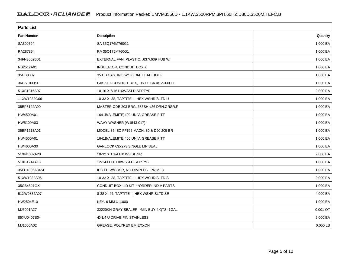| <b>Parts List</b>  |                                              |          |  |  |  |
|--------------------|----------------------------------------------|----------|--|--|--|
| <b>Part Number</b> | Description                                  | Quantity |  |  |  |
| SA300794           | SA 35Q176M760G1                              | 1.000 EA |  |  |  |
| RA287854           | RA 35Q176M760G1                              | 1.000 EA |  |  |  |
| 34FN3002B01        | EXTERNAL FAN, PLASTIC, .637/.639 HUB W/      | 1.000 EA |  |  |  |
| NS2512A01          | INSULATOR, CONDUIT BOX X                     | 1.000 EA |  |  |  |
| 35CB3007           | 35 CB CASTING W/.88 DIA. LEAD HOLE           | 1.000 EA |  |  |  |
| 36GS1000SP         | GASKET-CONDUIT BOX, .06 THICK #SV-330 LE     | 1.000 EA |  |  |  |
| 51XB1016A07        | 10-16 X 7/16 HXWSSLD SERTYB                  | 2.000 EA |  |  |  |
| 11XW1032G06        | 10-32 X .38, TAPTITE II, HEX WSHR SLTD U     | 1.000 EA |  |  |  |
| 35EP3122A00        | MASTER ODE, 203 BRG, 683SH, #26 DRN, GRSR, F | 1.000 EA |  |  |  |
| HW4500A01          | 1641B(ALEMITE)400 UNIV, GREASE FITT          | 1.000 EA |  |  |  |
| HW5100A03          | WAVY WASHER (W1543-017)                      | 1.000 EA |  |  |  |
| 35EP1518A01        | MODEL 35 IEC FF165 MACH. 80 & D90 205 BR     | 1.000 EA |  |  |  |
| HW4500A01          | 1641B(ALEMITE)400 UNIV, GREASE FITT          | 1.000 EA |  |  |  |
| HW4600A30          | GARLOCK 63X273 SINGLE LIP SEAL               | 1.000 EA |  |  |  |
| 51XN1032A20        | 10-32 X 1 1/4 HX WS SL SR                    | 2.000 EA |  |  |  |
| 51XB1214A16        | 12-14X1.00 HXWSSLD SERTYB                    | 1.000 EA |  |  |  |
| 35FH4005A84SP      | IEC FH W/GRSR, NO DIMPLES PRIMED             | 1.000 EA |  |  |  |
| 51XW1032A06        | 10-32 X .38, TAPTITE II, HEX WSHR SLTD S     | 3.000 EA |  |  |  |
| 35CB4521GX         | CONDUIT BOX LID KIT ** ORDER INDIV PARTS     | 1.000 EA |  |  |  |
| 51XW0832A07        | 8-32 X .44, TAPTITE II, HEX WSHR SLTD SE     | 4.000 EA |  |  |  |
| HW2504E10          | KEY, 6 MM X 1.000                            | 1.000 EA |  |  |  |
| MJ5001A27          | 32220KN GRAY SEALER *MIN BUY 4 QTS=1GAL      | 0.001 QT |  |  |  |
| 85XU0407S04        | 4X1/4 U DRIVE PIN STAINLESS                  | 2.000 EA |  |  |  |
| MJ1000A02          | GREASE, POLYREX EM EXXON                     | 0.050 LB |  |  |  |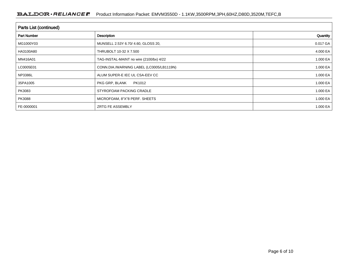#### BALDOR · RELIANCE F Product Information Packet: EMVM3550D - 1.1KW,3500RPM,3PH,60HZ,D80D,3520M,TEFC,B

| <b>Parts List (continued)</b> |                                          |              |  |  |  |  |
|-------------------------------|------------------------------------------|--------------|--|--|--|--|
| <b>Part Number</b>            | Description                              | Quantity     |  |  |  |  |
| MG1000Y03                     | MUNSELL 2.53Y 6.70/ 4.60, GLOSS 20,      | 0.017 GA     |  |  |  |  |
| HA3100A80                     | THRUBOLT 10-32 X 7.500                   | 4.000 EA     |  |  |  |  |
| MN416A01                      | TAG-INSTAL-MAINT no wire (2100/bx) 4/22  | 1.000 EA     |  |  |  |  |
| LC0005E01                     | CONN.DIA./WARNING LABEL (LC0005/LB1119N) | 1.000 EA $ $ |  |  |  |  |
| NP3386L                       | ALUM SUPER-E IEC UL CSA-EEV CC           | 1.000 EA     |  |  |  |  |
| 35PA1005                      | PKG GRP, BLANK<br>PK1012                 | 1.000 EA     |  |  |  |  |
| PK3083                        | STYROFOAM PACKING CRADLE                 | 1.000 EA     |  |  |  |  |
| PK3088                        | MICROFOAM, 8"X"8 PERF. SHEETS            | 1.000 EA     |  |  |  |  |
| FE-0000001                    | <b>ZRTG FE ASSEMBLY</b>                  | 1.000 EA     |  |  |  |  |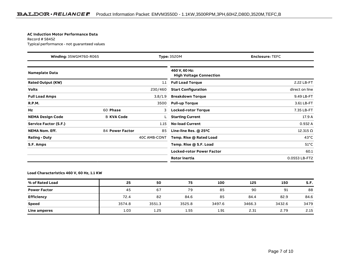#### **AC Induction Motor Performance Data**

Record # 58452Typical performance - not guaranteed values

| Winding: 35WGM760-R065   |                   |              | <b>Type: 3520M</b>                              | <b>Enclosure: TEFC</b> |
|--------------------------|-------------------|--------------|-------------------------------------------------|------------------------|
| <b>Nameplate Data</b>    |                   |              | 460 V, 60 Hz:<br><b>High Voltage Connection</b> |                        |
| <b>Rated Output (KW)</b> |                   | 1.1          | <b>Full Load Torque</b>                         | 2.22 LB-FT             |
| <b>Volts</b>             |                   | 230/460      | <b>Start Configuration</b>                      | direct on line         |
| <b>Full Load Amps</b>    |                   | 3.8/1.9      | <b>Breakdown Torque</b>                         | 9.49 LB-FT             |
| <b>R.P.M.</b>            |                   | 3500         | <b>Pull-up Torque</b>                           | 3.61 LB-FT             |
| Hz                       | 60 Phase          | 3            | <b>Locked-rotor Torque</b>                      | 7.35 LB-FT             |
| <b>NEMA Design Code</b>  | <b>B KVA Code</b> |              | <b>Starting Current</b>                         | 17.9 A                 |
| Service Factor (S.F.)    |                   | 1.15         | <b>No-load Current</b>                          | 0.932 A                |
| <b>NEMA Nom. Eff.</b>    | 84 Power Factor   | 85           | Line-line Res. $@$ 25 <sup>o</sup> C            | $12.315 \Omega$        |
| <b>Rating - Duty</b>     |                   | 40C AMB-CONT | Temp. Rise @ Rated Load                         | $43^{\circ}$ C         |
| S.F. Amps                |                   |              | Temp. Rise @ S.F. Load                          | $51^{\circ}$ C         |
|                          |                   |              | <b>Locked-rotor Power Factor</b>                | 60.1                   |
|                          |                   |              | Rotor inertia                                   | 0.0553 LB-FT2          |

#### **Load Characteristics 460 V, 60 Hz, 1.1 KW**

| % of Rated Load     | 25     | 50     | 75     | 100    | 125    | 150    | S.F. |
|---------------------|--------|--------|--------|--------|--------|--------|------|
| <b>Power Factor</b> | 45     | 67     | 79     | 85     | 90     | 91     | 88   |
| <b>Efficiency</b>   | 72.4   | 82     | 84.6   | 85     | 84.4   | 82.9   | 84.6 |
| Speed               | 3574.8 | 3551.3 | 3525.8 | 3497.6 | 3466.3 | 3432.6 | 3479 |
| Line amperes        | 1.03   | 1.25   | 1.55   | 1.91   | 2.31   | 2.79   | 2.15 |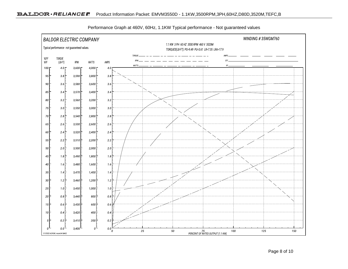

Performance Graph at 460V, 60Hz, 1.1KW Typical performance - Not guaranteed values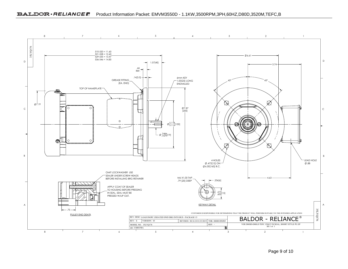